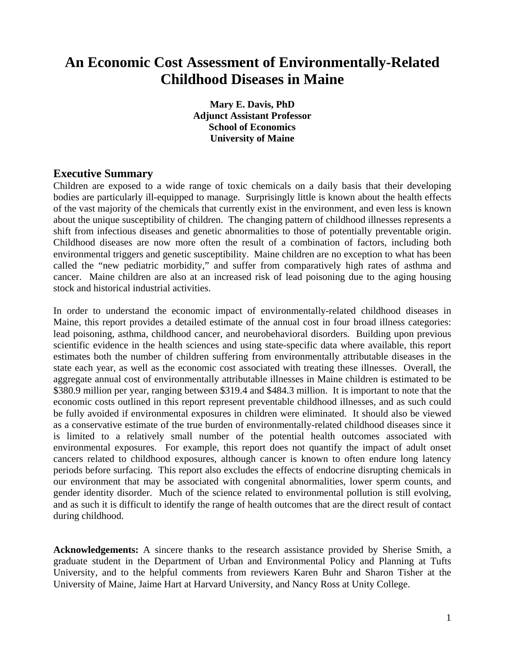# **An Economic Cost Assessment of Environmentally-Related Childhood Diseases in Maine**

**Mary E. Davis, PhD Adjunct Assistant Professor School of Economics University of Maine** 

### **Executive Summary**

Children are exposed to a wide range of toxic chemicals on a daily basis that their developing bodies are particularly ill-equipped to manage. Surprisingly little is known about the health effects of the vast majority of the chemicals that currently exist in the environment, and even less is known about the unique susceptibility of children. The changing pattern of childhood illnesses represents a shift from infectious diseases and genetic abnormalities to those of potentially preventable origin. Childhood diseases are now more often the result of a combination of factors, including both environmental triggers and genetic susceptibility. Maine children are no exception to what has been called the "new pediatric morbidity," and suffer from comparatively high rates of asthma and cancer. Maine children are also at an increased risk of lead poisoning due to the aging housing stock and historical industrial activities.

In order to understand the economic impact of environmentally-related childhood diseases in Maine, this report provides a detailed estimate of the annual cost in four broad illness categories: lead poisoning, asthma, childhood cancer, and neurobehavioral disorders. Building upon previous scientific evidence in the health sciences and using state-specific data where available, this report estimates both the number of children suffering from environmentally attributable diseases in the state each year, as well as the economic cost associated with treating these illnesses. Overall, the aggregate annual cost of environmentally attributable illnesses in Maine children is estimated to be \$380.9 million per year, ranging between \$319.4 and \$484.3 million. It is important to note that the economic costs outlined in this report represent preventable childhood illnesses, and as such could be fully avoided if environmental exposures in children were eliminated. It should also be viewed as a conservative estimate of the true burden of environmentally-related childhood diseases since it is limited to a relatively small number of the potential health outcomes associated with environmental exposures. For example, this report does not quantify the impact of adult onset cancers related to childhood exposures, although cancer is known to often endure long latency periods before surfacing. This report also excludes the effects of endocrine disrupting chemicals in our environment that may be associated with congenital abnormalities, lower sperm counts, and gender identity disorder. Much of the science related to environmental pollution is still evolving, and as such it is difficult to identify the range of health outcomes that are the direct result of contact during childhood.

**Acknowledgements:** A sincere thanks to the research assistance provided by Sherise Smith, a graduate student in the Department of Urban and Environmental Policy and Planning at Tufts University, and to the helpful comments from reviewers Karen Buhr and Sharon Tisher at the University of Maine, Jaime Hart at Harvard University, and Nancy Ross at Unity College.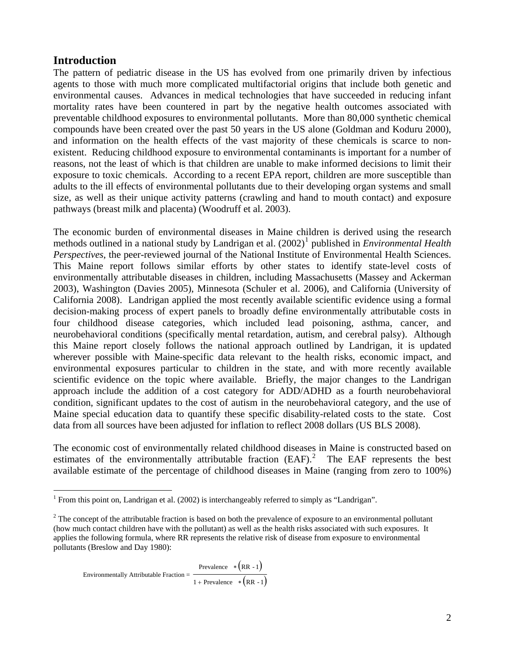## **Introduction**

The pattern of pediatric disease in the US has evolved from one primarily driven by infectious agents to those with much more complicated multifactorial origins that include both genetic and environmental causes. Advances in medical technologies that have succeeded in reducing infant mortality rates have been countered in part by the negative health outcomes associated with preventable childhood exposures to environmental pollutants. More than 80,000 synthetic chemical compounds have been created over the past 50 years in the US alone (Goldman and Koduru 2000), and information on the health effects of the vast majority of these chemicals is scarce to nonexistent. Reducing childhood exposure to environmental contaminants is important for a number of reasons, not the least of which is that children are unable to make informed decisions to limit their exposure to toxic chemicals. According to a recent EPA report, children are more susceptible than adults to the ill effects of environmental pollutants due to their developing organ systems and small size, as well as their unique activity patterns (crawling and hand to mouth contact) and exposure pathways (breast milk and placenta) (Woodruff et al. 2003).

The economic burden of environmental diseases in Maine children is derived using the research methods outlined in a national study by Landrigan et al. (2002)<sup>[1](#page-1-0)</sup> published in *Environmental Health Perspectives*, the peer-reviewed journal of the National Institute of Environmental Health Sciences. This Maine report follows similar efforts by other states to identify state-level costs of environmentally attributable diseases in children, including Massachusetts (Massey and Ackerman 2003), Washington (Davies 2005), Minnesota (Schuler et al. 2006), and California (University of California 2008). Landrigan applied the most recently available scientific evidence using a formal decision-making process of expert panels to broadly define environmentally attributable costs in four childhood disease categories, which included lead poisoning, asthma, cancer, and neurobehavioral conditions (specifically mental retardation, autism, and cerebral palsy). Although this Maine report closely follows the national approach outlined by Landrigan, it is updated wherever possible with Maine-specific data relevant to the health risks, economic impact, and environmental exposures particular to children in the state, and with more recently available scientific evidence on the topic where available. Briefly, the major changes to the Landrigan approach include the addition of a cost category for ADD/ADHD as a fourth neurobehavioral condition, significant updates to the cost of autism in the neurobehavioral category, and the use of Maine special education data to quantify these specific disability-related costs to the state. Cost data from all sources have been adjusted for inflation to reflect 2008 dollars (US BLS 2008).

The economic cost of environmentally related childhood diseases in Maine is constructed based on estimates of the environmentally attributable fraction  $(BAF)$ .<sup>[2](#page-1-1)</sup> The EAF represents the best available estimate of the percentage of childhood diseases in Maine (ranging from zero to 100%)

$$
Environmentally Attributable Fraction = \frac{Prevalence * (RR - 1)}{1 + Prevalence * (RR - 1)}
$$

<span id="page-1-0"></span><sup>&</sup>lt;sup>1</sup> From this point on, Landrigan et al. (2002) is interchangeably referred to simply as "Landrigan".

<span id="page-1-1"></span> $2^2$  The concept of the attributable fraction is based on both the prevalence of exposure to an environmental pollutant (how much contact children have with the pollutant) as well as the health risks associated with such exposures. It applies the following formula, where RR represents the relative risk of disease from exposure to environmental pollutants (Breslow and Day 1980):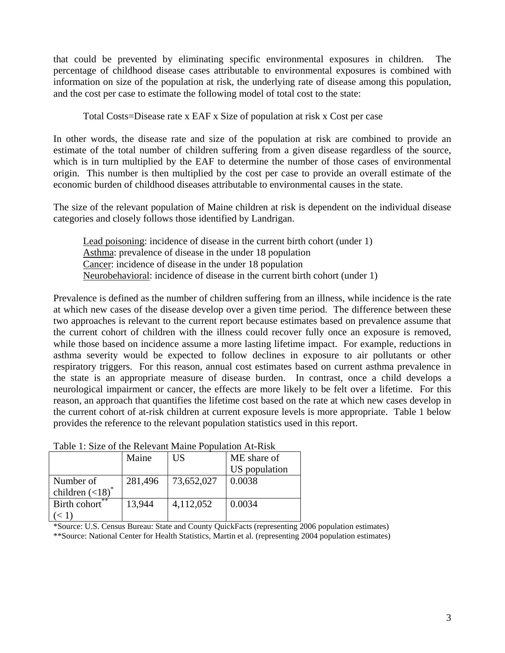that could be prevented by eliminating specific environmental exposures in children. The percentage of childhood disease cases attributable to environmental exposures is combined with information on size of the population at risk, the underlying rate of disease among this population, and the cost per case to estimate the following model of total cost to the state:

Total Costs=Disease rate x EAF x Size of population at risk x Cost per case

In other words, the disease rate and size of the population at risk are combined to provide an estimate of the total number of children suffering from a given disease regardless of the source, which is in turn multiplied by the EAF to determine the number of those cases of environmental origin. This number is then multiplied by the cost per case to provide an overall estimate of the economic burden of childhood diseases attributable to environmental causes in the state.

The size of the relevant population of Maine children at risk is dependent on the individual disease categories and closely follows those identified by Landrigan.

Lead poisoning: incidence of disease in the current birth cohort (under 1) Asthma: prevalence of disease in the under 18 population Cancer: incidence of disease in the under 18 population Neurobehavioral: incidence of disease in the current birth cohort (under 1)

Prevalence is defined as the number of children suffering from an illness, while incidence is the rate at which new cases of the disease develop over a given time period. The difference between these two approaches is relevant to the current report because estimates based on prevalence assume that the current cohort of children with the illness could recover fully once an exposure is removed, while those based on incidence assume a more lasting lifetime impact. For example, reductions in asthma severity would be expected to follow declines in exposure to air pollutants or other respiratory triggers. For this reason, annual cost estimates based on current asthma prevalence in the state is an appropriate measure of disease burden. In contrast, once a child develops a neurological impairment or cancer, the effects are more likely to be felt over a lifetime. For this reason, an approach that quantifies the lifetime cost based on the rate at which new cases develop in the current cohort of at-risk children at current exposure levels is more appropriate. Table 1 below provides the reference to the relevant population statistics used in this report.

| Tuolo T. DIZO OF the Referant Mando Foldmulon PR Rhsk |         |            |               |  |
|-------------------------------------------------------|---------|------------|---------------|--|
|                                                       | Maine   | US         | ME share of   |  |
|                                                       |         |            | US population |  |
| Number of                                             | 281,496 | 73,652,027 | 0.0038        |  |
| children $(<18)$ <sup>*</sup>                         |         |            |               |  |
| Birth cohort $\overline{t}^*$                         | 13,944  | 4,112,052  | 0.0034        |  |
|                                                       |         |            |               |  |

Table 1: Size of the Relevant Maine Population At-Risk

\*Source: U.S. Census Bureau: State and County QuickFacts (representing 2006 population estimates)

\*\*Source: National Center for Health Statistics, Martin et al. (representing 2004 population estimates)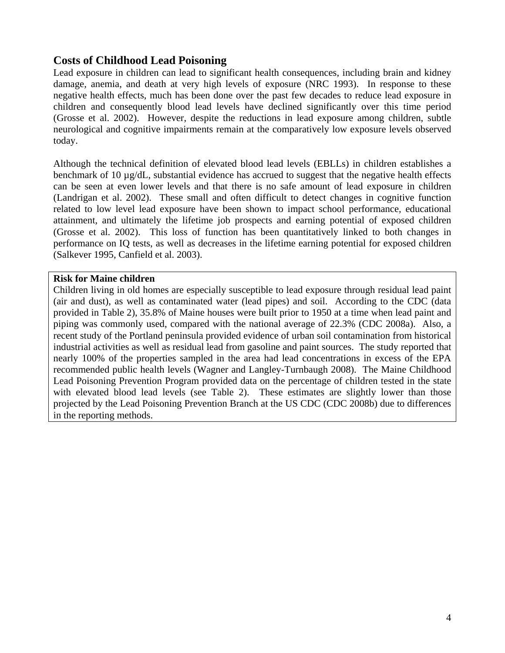# **Costs of Childhood Lead Poisoning**

Lead exposure in children can lead to significant health consequences, including brain and kidney damage, anemia, and death at very high levels of exposure (NRC 1993). In response to these negative health effects, much has been done over the past few decades to reduce lead exposure in children and consequently blood lead levels have declined significantly over this time period (Grosse et al. 2002). However, despite the reductions in lead exposure among children, subtle neurological and cognitive impairments remain at the comparatively low exposure levels observed today.

Although the technical definition of elevated blood lead levels (EBLLs) in children establishes a benchmark of 10 µg/dL, substantial evidence has accrued to suggest that the negative health effects can be seen at even lower levels and that there is no safe amount of lead exposure in children (Landrigan et al. 2002). These small and often difficult to detect changes in cognitive function related to low level lead exposure have been shown to impact school performance, educational attainment, and ultimately the lifetime job prospects and earning potential of exposed children (Grosse et al. 2002). This loss of function has been quantitatively linked to both changes in performance on IQ tests, as well as decreases in the lifetime earning potential for exposed children (Salkever 1995, Canfield et al. 2003).

#### **Risk for Maine children**

Children living in old homes are especially susceptible to lead exposure through residual lead paint (air and dust), as well as contaminated water (lead pipes) and soil. According to the CDC (data provided in Table 2), 35.8% of Maine houses were built prior to 1950 at a time when lead paint and piping was commonly used, compared with the national average of 22.3% (CDC 2008a). Also, a recent study of the Portland peninsula provided evidence of urban soil contamination from historical industrial activities as well as residual lead from gasoline and paint sources. The study reported that nearly 100% of the properties sampled in the area had lead concentrations in excess of the EPA recommended public health levels (Wagner and Langley-Turnbaugh 2008). The Maine Childhood Lead Poisoning Prevention Program provided data on the percentage of children tested in the state with elevated blood lead levels (see Table 2). These estimates are slightly lower than those projected by the Lead Poisoning Prevention Branch at the US CDC (CDC 2008b) due to differences in the reporting methods.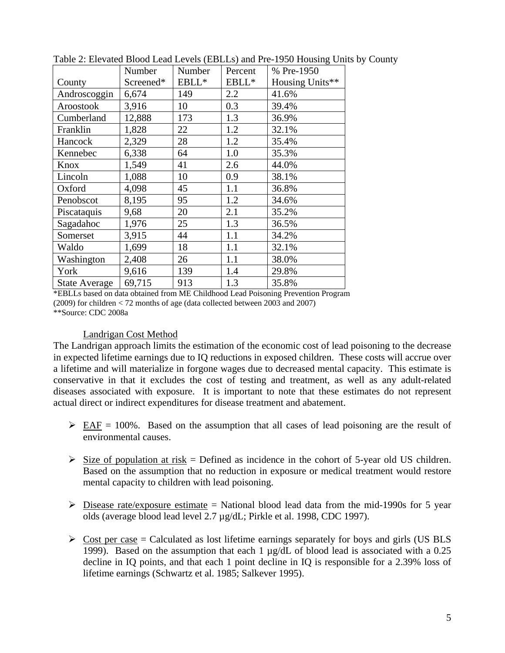|                      | Number    | Number | Percent | % Pre-1950      |
|----------------------|-----------|--------|---------|-----------------|
| County               | Screened* | EBLL*  | EBLL*   | Housing Units** |
| Androscoggin         | 6,674     | 149    | 2.2     | 41.6%           |
| Aroostook            | 3,916     | 10     | 0.3     | 39.4%           |
| Cumberland           | 12,888    | 173    | 1.3     | 36.9%           |
| Franklin             | 1,828     | 22     | 1.2     | 32.1%           |
| Hancock              | 2,329     | 28     | 1.2     | 35.4%           |
| Kennebec             | 6,338     | 64     | 1.0     | 35.3%           |
| Knox                 | 1,549     | 41     | 2.6     | 44.0%           |
| Lincoln              | 1,088     | 10     | 0.9     | 38.1%           |
| Oxford               | 4,098     | 45     | 1.1     | 36.8%           |
| Penobscot            | 8,195     | 95     | 1.2     | 34.6%           |
| Piscataquis          | 9,68      | 20     | 2.1     | 35.2%           |
| Sagadahoc            | 1,976     | 25     | 1.3     | 36.5%           |
| Somerset             | 3,915     | 44     | 1.1     | 34.2%           |
| Waldo                | 1,699     | 18     | 1.1     | 32.1%           |
| Washington           | 2,408     | 26     | 1.1     | 38.0%           |
| York                 | 9,616     | 139    | 1.4     | 29.8%           |
| <b>State Average</b> | 69,715    | 913    | 1.3     | 35.8%           |

Table 2: Elevated Blood Lead Levels (EBLLs) and Pre-1950 Housing Units by County

\*EBLLs based on data obtained from ME Childhood Lead Poisoning Prevention Program (2009) for children < 72 months of age (data collected between 2003 and 2007) \*\*Source: CDC 2008a

#### Landrigan Cost Method

The Landrigan approach limits the estimation of the economic cost of lead poisoning to the decrease in expected lifetime earnings due to IQ reductions in exposed children. These costs will accrue over a lifetime and will materialize in forgone wages due to decreased mental capacity. This estimate is conservative in that it excludes the cost of testing and treatment, as well as any adult-related diseases associated with exposure. It is important to note that these estimates do not represent actual direct or indirect expenditures for disease treatment and abatement.

- $\triangleright$  EAF = 100%. Based on the assumption that all cases of lead poisoning are the result of environmental causes.
- $\triangleright$  Size of population at risk = Defined as incidence in the cohort of 5-year old US children. Based on the assumption that no reduction in exposure or medical treatment would restore mental capacity to children with lead poisoning.
- $\triangleright$  Disease rate/exposure estimate = National blood lead data from the mid-1990s for 5 year olds (average blood lead level 2.7 µg/dL; Pirkle et al. 1998, CDC 1997).
- $\triangleright$  Cost per case = Calculated as lost lifetime earnings separately for boys and girls (US BLS 1999). Based on the assumption that each 1 µg/dL of blood lead is associated with a 0.25 decline in IQ points, and that each 1 point decline in IQ is responsible for a 2.39% loss of lifetime earnings (Schwartz et al. 1985; Salkever 1995).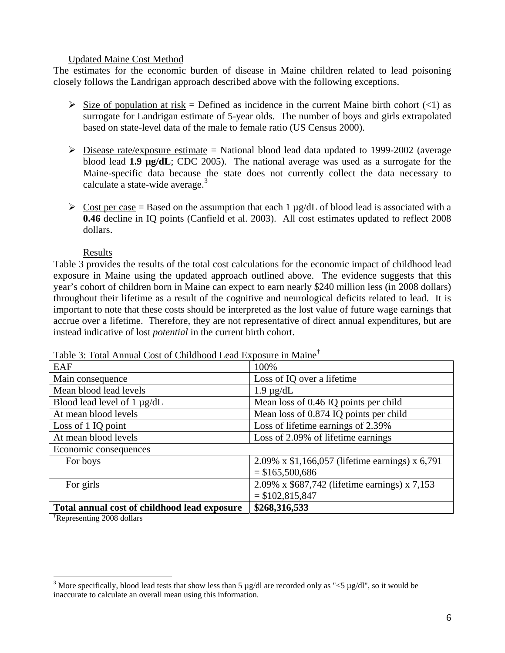#### Updated Maine Cost Method

The estimates for the economic burden of disease in Maine children related to lead poisoning closely follows the Landrigan approach described above with the following exceptions.

- $\triangleright$  Size of population at risk = Defined as incidence in the current Maine birth cohort (<1) as surrogate for Landrigan estimate of 5-year olds. The number of boys and girls extrapolated based on state-level data of the male to female ratio (US Census 2000).
- $\triangleright$  Disease rate/exposure estimate = National blood lead data updated to 1999-2002 (average blood lead **1.9 µg/dL**; CDC 2005). The national average was used as a surrogate for the Maine-specific data because the state does not currently collect the data necessary to calculate a state-wide average. $3$
- $\triangleright$  Cost per case = Based on the assumption that each 1 µg/dL of blood lead is associated with a **0.46** decline in IQ points (Canfield et al. 2003). All cost estimates updated to reflect 2008 dollars.

#### Results

Table 3 provides the results of the total cost calculations for the economic impact of childhood lead exposure in Maine using the updated approach outlined above. The evidence suggests that this year's cohort of children born in Maine can expect to earn nearly \$240 million less (in 2008 dollars) throughout their lifetime as a result of the cognitive and neurological deficits related to lead. It is important to note that these costs should be interpreted as the lost value of future wage earnings that accrue over a lifetime. Therefore, they are not representative of direct annual expenditures, but are instead indicative of lost *potential* in the current birth cohort.

| <b>EAF</b>                                   | 100%                                            |
|----------------------------------------------|-------------------------------------------------|
| Main consequence                             | Loss of IQ over a lifetime                      |
| Mean blood lead levels                       | $1.9 \mu g/dL$                                  |
| Blood lead level of $1 \mu g/dL$             | Mean loss of 0.46 IQ points per child           |
| At mean blood levels                         | Mean loss of 0.874 IQ points per child          |
| Loss of 1 IQ point                           | Loss of lifetime earnings of 2.39%              |
| At mean blood levels                         | Loss of 2.09% of lifetime earnings              |
| Economic consequences                        |                                                 |
| For boys                                     | 2.09% x \$1,166,057 (lifetime earnings) x 6,791 |
|                                              | $=$ \$165,500,686                               |
| For girls                                    | 2.09% x \$687,742 (lifetime earnings) x 7,153   |
|                                              | $=$ \$102,815,847                               |
| Total annual cost of childhood lead exposure | \$268,316,533                                   |

Table 3: Total Annual Cost of Childhood Lead Exposure in Maine†

† Representing 2008 dollars

 $\overline{a}$ 

<span id="page-5-0"></span><sup>&</sup>lt;sup>3</sup> More specifically, blood lead tests that show less than 5  $\mu$ g/dl are recorded only as "<5  $\mu$ g/dl", so it would be inaccurate to calculate an overall mean using this information.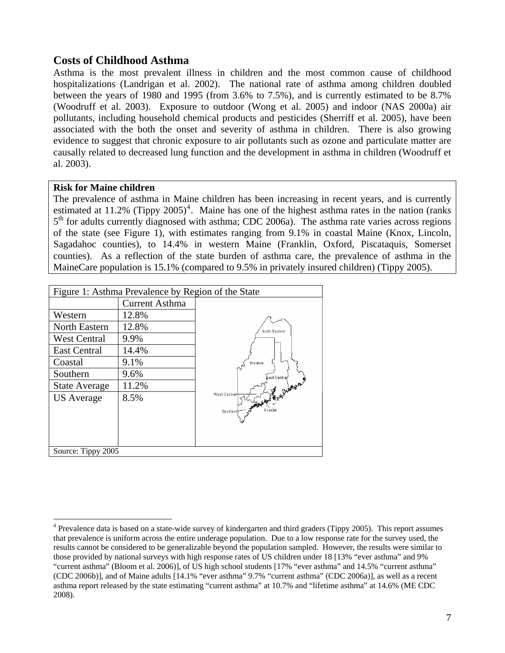# **Costs of Childhood Asthma**

Asthma is the most prevalent illness in children and the most common cause of childhood hospitalizations (Landrigan et al. 2002). The national rate of asthma among children doubled between the years of 1980 and 1995 (from 3.6% to 7.5%), and is currently estimated to be 8.7% (Woodruff et al. 2003). Exposure to outdoor (Wong et al. 2005) and indoor (NAS 2000a) air pollutants, including household chemical products and pesticides (Sherriff et al. 2005), have been associated with the both the onset and severity of asthma in children. There is also growing evidence to suggest that chronic exposure to air pollutants such as ozone and particulate matter are causally related to decreased lung function and the development in asthma in children (Woodruff et al. 2003).

#### **Risk for Maine children**

 $\overline{a}$ 

The prevalence of asthma in Maine children has been increasing in recent years, and is currently estimated at 11.2% (Tippy 2005)<sup>[4](#page-6-0)</sup>. Maine has one of the highest asthma rates in the nation (ranks 5<sup>th</sup> for adults currently diagnosed with asthma; CDC 2006a). The asthma rate varies across regions of the state (see Figure 1), with estimates ranging from 9.1% in coastal Maine (Knox, Lincoln, Sagadahoc counties), to 14.4% in western Maine (Franklin, Oxford, Piscataquis, Somerset counties). As a reflection of the state burden of asthma care, the prevalence of asthma in the MaineCare population is 15.1% (compared to 9.5% in privately insured children) (Tippy 2005).

| Figure 1: Asthma Prevalence by Region of the State |                       |                                 |  |  |  |
|----------------------------------------------------|-----------------------|---------------------------------|--|--|--|
|                                                    | <b>Current Asthma</b> |                                 |  |  |  |
| Western                                            | 12.8%                 |                                 |  |  |  |
| <b>North Eastern</b>                               | 12.8%                 | North Eastern                   |  |  |  |
| <b>West Central</b>                                | 9.9%                  |                                 |  |  |  |
| <b>East Central</b>                                | 14.4%                 |                                 |  |  |  |
| Coastal                                            | 9.1%                  | Western                         |  |  |  |
| Southern                                           | 9.6%                  | East Centrar                    |  |  |  |
| <b>State Average</b>                               | 11.2%                 |                                 |  |  |  |
| <b>US</b> Average                                  | 8.5%                  | West Central<br><b>REAGASTS</b> |  |  |  |
|                                                    |                       | Ccastal<br>Southerm             |  |  |  |
|                                                    |                       |                                 |  |  |  |
|                                                    |                       |                                 |  |  |  |
| Source: Tippy 2005                                 |                       |                                 |  |  |  |

<span id="page-6-0"></span><sup>&</sup>lt;sup>4</sup> Prevalence data is based on a state-wide survey of kindergarten and third graders (Tippy 2005). This report assumes that prevalence is uniform across the entire underage population. Due to a low response rate for the survey used, the results cannot be considered to be generalizable beyond the population sampled. However, the results were similar to those provided by national surveys with high response rates of US children under 18 [13% "ever asthma" and 9% "current asthma" (Bloom et al. 2006)], of US high school students [17% "ever asthma" and 14.5% "current asthma" (CDC 2006b)], and of Maine adults [14.1% "ever asthma" 9.7% "current asthma" (CDC 2006a)], as well as a recent asthma report released by the state estimating "current asthma" at 10.7% and "lifetime asthma" at 14.6% (ME CDC 2008).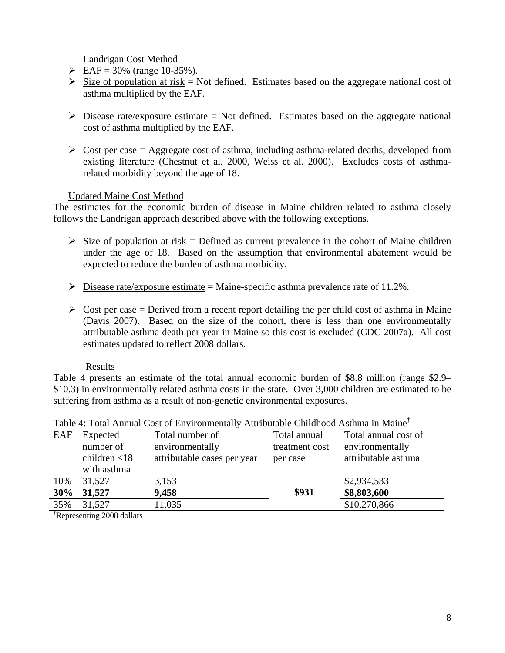Landrigan Cost Method

- $\triangleright$  EAF = 30% (range 10-35%).
- $\triangleright$  Size of population at risk = Not defined. Estimates based on the aggregate national cost of asthma multiplied by the EAF.
- $\triangleright$  Disease rate/exposure estimate = Not defined. Estimates based on the aggregate national cost of asthma multiplied by the EAF.
- $\triangleright$  Cost per case = Aggregate cost of asthma, including asthma-related deaths, developed from existing literature (Chestnut et al. 2000, Weiss et al. 2000). Excludes costs of asthmarelated morbidity beyond the age of 18.

### Updated Maine Cost Method

The estimates for the economic burden of disease in Maine children related to asthma closely follows the Landrigan approach described above with the following exceptions.

- $\triangleright$  Size of population at risk = Defined as current prevalence in the cohort of Maine children under the age of 18. Based on the assumption that environmental abatement would be expected to reduce the burden of asthma morbidity.
- $\triangleright$  Disease rate/exposure estimate = Maine-specific asthma prevalence rate of 11.2%.
- $\triangleright$  Cost per case = Derived from a recent report detailing the per child cost of asthma in Maine (Davis 2007). Based on the size of the cohort, there is less than one environmentally attributable asthma death per year in Maine so this cost is excluded (CDC 2007a). All cost estimates updated to reflect 2008 dollars.

#### Results

Table 4 presents an estimate of the total annual economic burden of \$8.8 million (range \$2.9– \$10.3) in environmentally related asthma costs in the state. Over 3,000 children are estimated to be suffering from asthma as a result of non-genetic environmental exposures.

| EAF | Expected        | Total number of             | Total annual   | Total annual cost of |  |  |
|-----|-----------------|-----------------------------|----------------|----------------------|--|--|
|     | number of       | environmentally             | treatment cost | environmentally      |  |  |
|     | children $<$ 18 | attributable cases per year | per case       | attributable asthma  |  |  |
|     | with asthma     |                             |                |                      |  |  |
| 10% | 31,527          | 3,153                       |                | \$2,934,533          |  |  |
| 30% | 31,527          | 9,458                       | \$931          | \$8,803,600          |  |  |
| 35% | 31,527          | 11,035                      |                | \$10,270,866         |  |  |

### Table 4: Total Annual Cost of Environmentally Attributable Childhood Asthma in Maine†

† Representing 2008 dollars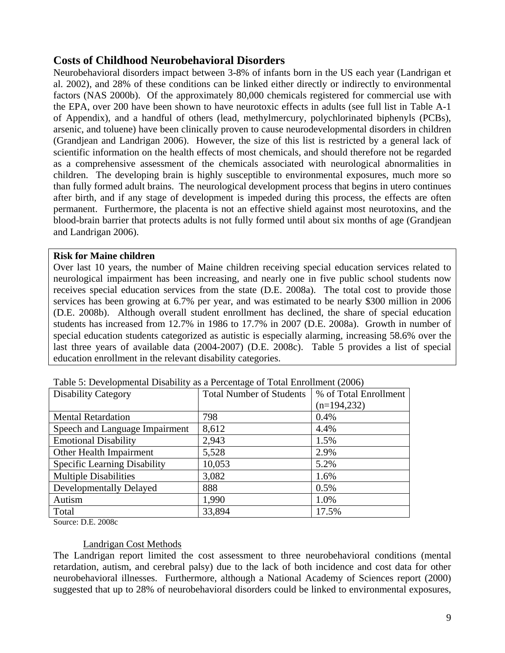# **Costs of Childhood Neurobehavioral Disorders**

Neurobehavioral disorders impact between 3-8% of infants born in the US each year (Landrigan et al. 2002), and 28% of these conditions can be linked either directly or indirectly to environmental factors (NAS 2000b). Of the approximately 80,000 chemicals registered for commercial use with the EPA, over 200 have been shown to have neurotoxic effects in adults (see full list in Table A-1 of Appendix), and a handful of others (lead, methylmercury, polychlorinated biphenyls (PCBs), arsenic, and toluene) have been clinically proven to cause neurodevelopmental disorders in children (Grandjean and Landrigan 2006). However, the size of this list is restricted by a general lack of scientific information on the health effects of most chemicals, and should therefore not be regarded as a comprehensive assessment of the chemicals associated with neurological abnormalities in children. The developing brain is highly susceptible to environmental exposures, much more so than fully formed adult brains. The neurological development process that begins in utero continues after birth, and if any stage of development is impeded during this process, the effects are often permanent. Furthermore, the placenta is not an effective shield against most neurotoxins, and the blood-brain barrier that protects adults is not fully formed until about six months of age (Grandjean and Landrigan 2006).

#### **Risk for Maine children**

Over last 10 years, the number of Maine children receiving special education services related to neurological impairment has been increasing, and nearly one in five public school students now receives special education services from the state (D.E. 2008a). The total cost to provide those services has been growing at 6.7% per year, and was estimated to be nearly \$300 million in 2006 (D.E. 2008b). Although overall student enrollment has declined, the share of special education students has increased from 12.7% in 1986 to 17.7% in 2007 (D.E. 2008a). Growth in number of special education students categorized as autistic is especially alarming, increasing 58.6% over the last three years of available data (2004-2007) (D.E. 2008c). Table 5 provides a list of special education enrollment in the relevant disability categories.

| <b>Disability Category</b>          | <b>Total Number of Students</b> | % of Total Enrollment |
|-------------------------------------|---------------------------------|-----------------------|
|                                     |                                 | $(n=194,232)$         |
| <b>Mental Retardation</b>           | 798                             | 0.4%                  |
| Speech and Language Impairment      | 8,612                           | 4.4%                  |
| <b>Emotional Disability</b>         | 2,943                           | 1.5%                  |
| Other Health Impairment             | 5,528                           | 2.9%                  |
| <b>Specific Learning Disability</b> | 10,053                          | 5.2%                  |
| <b>Multiple Disabilities</b>        | 3,082                           | 1.6%                  |
| Developmentally Delayed             | 888                             | 0.5%                  |
| Autism                              | 1,990                           | 1.0%                  |
| Total                               | 33,894                          | 17.5%                 |

Table 5: Developmental Disability as a Percentage of Total Enrollment (2006)

Source: D.E. 2008c

#### Landrigan Cost Methods

The Landrigan report limited the cost assessment to three neurobehavioral conditions (mental retardation, autism, and cerebral palsy) due to the lack of both incidence and cost data for other neurobehavioral illnesses. Furthermore, although a National Academy of Sciences report (2000) suggested that up to 28% of neurobehavioral disorders could be linked to environmental exposures,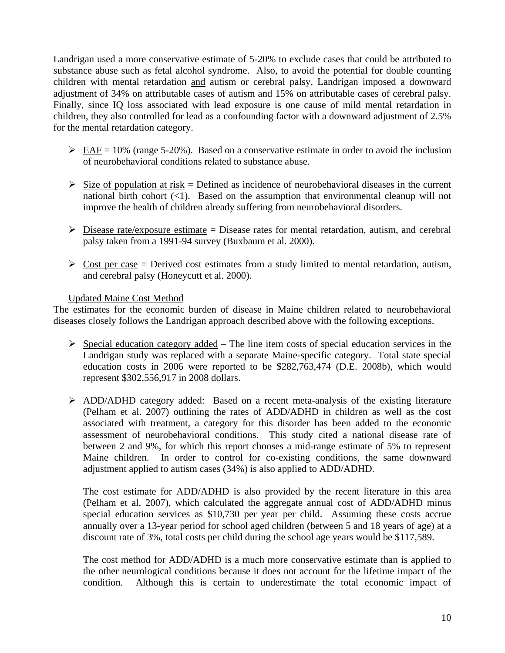Landrigan used a more conservative estimate of 5-20% to exclude cases that could be attributed to substance abuse such as fetal alcohol syndrome. Also, to avoid the potential for double counting children with mental retardation and autism or cerebral palsy, Landrigan imposed a downward adjustment of 34% on attributable cases of autism and 15% on attributable cases of cerebral palsy. Finally, since IQ loss associated with lead exposure is one cause of mild mental retardation in children, they also controlled for lead as a confounding factor with a downward adjustment of 2.5% for the mental retardation category.

- $\triangleright$  EAF = 10% (range 5-20%). Based on a conservative estimate in order to avoid the inclusion of neurobehavioral conditions related to substance abuse.
- $\triangleright$  Size of population at risk = Defined as incidence of neurobehavioral diseases in the current national birth cohort  $(\leq 1)$ . Based on the assumption that environmental cleanup will not improve the health of children already suffering from neurobehavioral disorders.
- $\triangleright$  Disease rate/exposure estimate = Disease rates for mental retardation, autism, and cerebral palsy taken from a 1991-94 survey (Buxbaum et al. 2000).
- $\triangleright$  Cost per case = Derived cost estimates from a study limited to mental retardation, autism, and cerebral palsy (Honeycutt et al. 2000).

### Updated Maine Cost Method

The estimates for the economic burden of disease in Maine children related to neurobehavioral diseases closely follows the Landrigan approach described above with the following exceptions.

- $\triangleright$  Special education category added The line item costs of special education services in the Landrigan study was replaced with a separate Maine-specific category. Total state special education costs in 2006 were reported to be \$282,763,474 (D.E. 2008b), which would represent \$302,556,917 in 2008 dollars.
- ¾ ADD/ADHD category added: Based on a recent meta-analysis of the existing literature (Pelham et al. 2007) outlining the rates of ADD/ADHD in children as well as the cost associated with treatment, a category for this disorder has been added to the economic assessment of neurobehavioral conditions. This study cited a national disease rate of between 2 and 9%, for which this report chooses a mid-range estimate of 5% to represent Maine children. In order to control for co-existing conditions, the same downward adjustment applied to autism cases (34%) is also applied to ADD/ADHD.

The cost estimate for ADD/ADHD is also provided by the recent literature in this area (Pelham et al. 2007), which calculated the aggregate annual cost of ADD/ADHD minus special education services as \$10,730 per year per child. Assuming these costs accrue annually over a 13-year period for school aged children (between 5 and 18 years of age) at a discount rate of 3%, total costs per child during the school age years would be \$117,589.

The cost method for ADD/ADHD is a much more conservative estimate than is applied to the other neurological conditions because it does not account for the lifetime impact of the condition. Although this is certain to underestimate the total economic impact of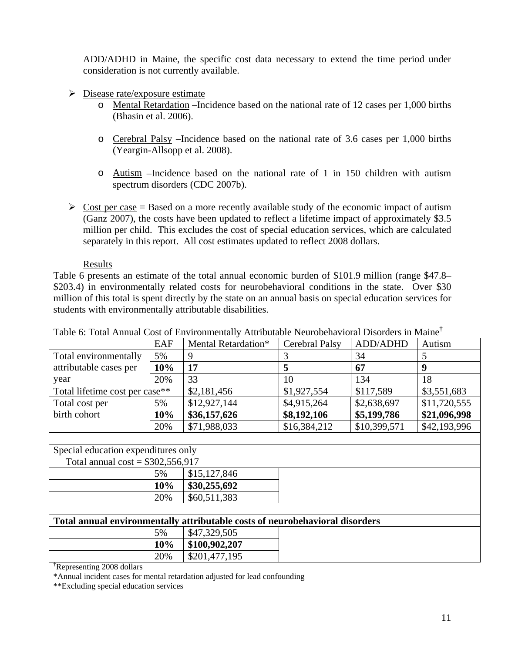ADD/ADHD in Maine, the specific cost data necessary to extend the time period under consideration is not currently available.

- $\triangleright$  Disease rate/exposure estimate
	- o Mental Retardation –Incidence based on the national rate of 12 cases per 1,000 births (Bhasin et al. 2006).
	- o Cerebral Palsy –Incidence based on the national rate of 3.6 cases per 1,000 births (Yeargin-Allsopp et al. 2008).
	- o Autism –Incidence based on the national rate of 1 in 150 children with autism spectrum disorders (CDC 2007b).
- $\triangleright$  Cost per case = Based on a more recently available study of the economic impact of autism (Ganz 2007), the costs have been updated to reflect a lifetime impact of approximately \$3.5 million per child. This excludes the cost of special education services, which are calculated separately in this report. All cost estimates updated to reflect 2008 dollars.

#### Results

Table 6 presents an estimate of the total annual economic burden of \$101.9 million (range \$47.8– \$203.4) in environmentally related costs for neurobehavioral conditions in the state. Over \$30 million of this total is spent directly by the state on an annual basis on special education services for students with environmentally attributable disabilities.

|                                                                              | EAF | Mental Retardation* | Cerebral Palsy | ADD/ADHD     | Autism       |
|------------------------------------------------------------------------------|-----|---------------------|----------------|--------------|--------------|
| Total environmentally                                                        | 5%  | 9                   | 3              | 34           | 5            |
| attributable cases per                                                       | 10% | 17                  | 5              | 67           | 9            |
| year                                                                         | 20% | 33                  | 10             | 134          | 18           |
| Total lifetime cost per case**                                               |     | \$2,181,456         | \$1,927,554    | \$117,589    | \$3,551,683  |
| Total cost per                                                               | 5%  | \$12,927,144        | \$4,915,264    | \$2,638,697  | \$11,720,555 |
| birth cohort                                                                 | 10% | \$36,157,626        | \$8,192,106    | \$5,199,786  | \$21,096,998 |
|                                                                              | 20% | \$71,988,033        | \$16,384,212   | \$10,399,571 | \$42,193,996 |
|                                                                              |     |                     |                |              |              |
| Special education expenditures only                                          |     |                     |                |              |              |
| Total annual $cost = $302,556,917$                                           |     |                     |                |              |              |
|                                                                              | 5%  | \$15,127,846        |                |              |              |
|                                                                              | 10% | \$30,255,692        |                |              |              |
|                                                                              | 20% | \$60,511,383        |                |              |              |
|                                                                              |     |                     |                |              |              |
| Total annual environmentally attributable costs of neurobehavioral disorders |     |                     |                |              |              |
|                                                                              | 5%  | \$47,329,505        |                |              |              |
|                                                                              | 10% | \$100,902,207       |                |              |              |
|                                                                              | 20% | \$201,477,195       |                |              |              |

Table 6: Total Annual Cost of Environmentally Attributable Neurobehavioral Disorders in Maine†

† Representing 2008 dollars

\*Annual incident cases for mental retardation adjusted for lead confounding

\*\*Excluding special education services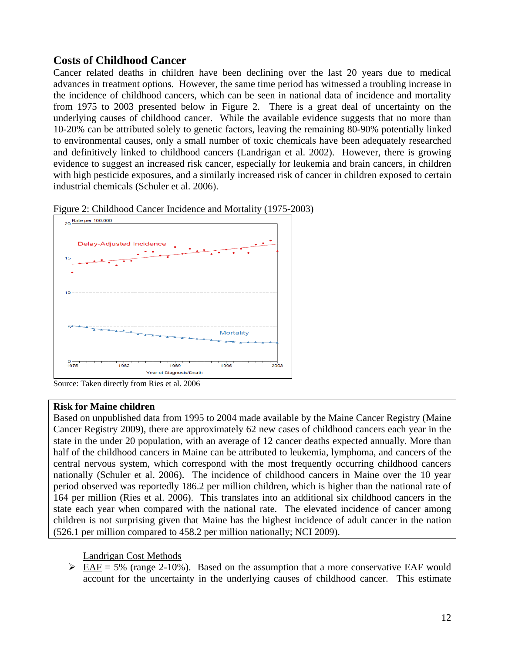# **Costs of Childhood Cancer**

Cancer related deaths in children have been declining over the last 20 years due to medical advances in treatment options. However, the same time period has witnessed a troubling increase in the incidence of childhood cancers, which can be seen in national data of incidence and mortality from 1975 to 2003 presented below in Figure 2. There is a great deal of uncertainty on the underlying causes of childhood cancer. While the available evidence suggests that no more than 10-20% can be attributed solely to genetic factors, leaving the remaining 80-90% potentially linked to environmental causes, only a small number of toxic chemicals have been adequately researched and definitively linked to childhood cancers (Landrigan et al. 2002). However, there is growing evidence to suggest an increased risk cancer, especially for leukemia and brain cancers, in children with high pesticide exposures, and a similarly increased risk of cancer in children exposed to certain industrial chemicals (Schuler et al. 2006).





Source: Taken directly from Ries et al. 2006

#### **Risk for Maine children**

Based on unpublished data from 1995 to 2004 made available by the Maine Cancer Registry (Maine Cancer Registry 2009), there are approximately 62 new cases of childhood cancers each year in the state in the under 20 population, with an average of 12 cancer deaths expected annually. More than half of the childhood cancers in Maine can be attributed to leukemia, lymphoma, and cancers of the central nervous system, which correspond with the most frequently occurring childhood cancers nationally (Schuler et al. 2006). The incidence of childhood cancers in Maine over the 10 year period observed was reportedly 186.2 per million children, which is higher than the national rate of 164 per million (Ries et al. 2006). This translates into an additional six childhood cancers in the state each year when compared with the national rate. The elevated incidence of cancer among children is not surprising given that Maine has the highest incidence of adult cancer in the nation (526.1 per million compared to 458.2 per million nationally; NCI 2009).

#### Landrigan Cost Methods

 $\triangleright$  EAF = 5% (range 2-10%). Based on the assumption that a more conservative EAF would account for the uncertainty in the underlying causes of childhood cancer. This estimate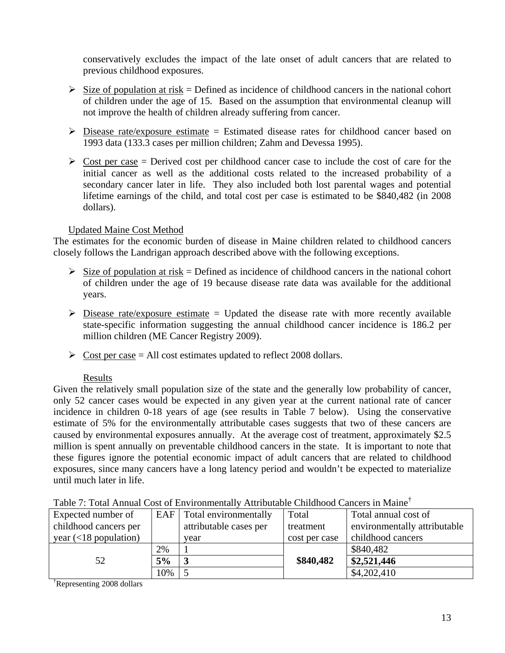conservatively excludes the impact of the late onset of adult cancers that are related to previous childhood exposures.

- $\triangleright$  Size of population at risk = Defined as incidence of childhood cancers in the national cohort of children under the age of 15. Based on the assumption that environmental cleanup will not improve the health of children already suffering from cancer.
- $\triangleright$  Disease rate/exposure estimate = Estimated disease rates for childhood cancer based on 1993 data (133.3 cases per million children; Zahm and Devessa 1995).
- $\geq$  Cost per case = Derived cost per childhood cancer case to include the cost of care for the initial cancer as well as the additional costs related to the increased probability of a secondary cancer later in life. They also included both lost parental wages and potential lifetime earnings of the child, and total cost per case is estimated to be \$840,482 (in 2008 dollars).

### Updated Maine Cost Method

The estimates for the economic burden of disease in Maine children related to childhood cancers closely follows the Landrigan approach described above with the following exceptions.

- $\triangleright$  Size of population at risk = Defined as incidence of childhood cancers in the national cohort of children under the age of 19 because disease rate data was available for the additional years.
- $\triangleright$  Disease rate/exposure estimate = Updated the disease rate with more recently available state-specific information suggesting the annual childhood cancer incidence is 186.2 per million children (ME Cancer Registry 2009).
- $\triangleright$  Cost per case = All cost estimates updated to reflect 2008 dollars.

#### Results

Given the relatively small population size of the state and the generally low probability of cancer, only 52 cancer cases would be expected in any given year at the current national rate of cancer incidence in children 0-18 years of age (see results in Table 7 below). Using the conservative estimate of 5% for the environmentally attributable cases suggests that two of these cancers are caused by environmental exposures annually. At the average cost of treatment, approximately \$2.5 million is spent annually on preventable childhood cancers in the state. It is important to note that these figures ignore the potential economic impact of adult cancers that are related to childhood exposures, since many cancers have a long latency period and wouldn't be expected to materialize until much later in life.

| Table 7. Tolai Allingai Cost of Environmentary Attributable Chinanood Cancels in Maine |     |                             |               |                              |
|----------------------------------------------------------------------------------------|-----|-----------------------------|---------------|------------------------------|
| Expected number of                                                                     |     | EAF   Total environmentally | Total         | Total annual cost of         |
| childhood cancers per                                                                  |     | attributable cases per      | treatment     | environmentally attributable |
| year $\left($ <18 population)                                                          |     | year                        | cost per case | childhood cancers            |
|                                                                                        | 2%  |                             |               | \$840,482                    |
| 52                                                                                     | 5%  |                             | \$840,482     | \$2,521,446                  |
|                                                                                        | 10% |                             |               | \$4,202,410                  |

Table 7: Total Annual Cost of Environmentally Attributable Childhood Cancers in Maine†

† Representing 2008 dollars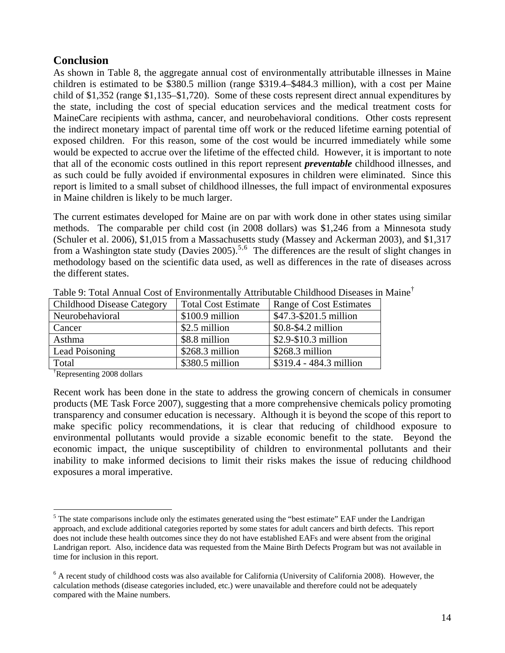# **Conclusion**

As shown in Table 8, the aggregate annual cost of environmentally attributable illnesses in Maine children is estimated to be \$380.5 million (range \$319.4–\$484.3 million), with a cost per Maine child of \$1,352 (range \$1,135–\$1,720). Some of these costs represent direct annual expenditures by the state, including the cost of special education services and the medical treatment costs for MaineCare recipients with asthma, cancer, and neurobehavioral conditions. Other costs represent the indirect monetary impact of parental time off work or the reduced lifetime earning potential of exposed children. For this reason, some of the cost would be incurred immediately while some would be expected to accrue over the lifetime of the effected child. However, it is important to note that all of the economic costs outlined in this report represent *preventable* childhood illnesses, and as such could be fully avoided if environmental exposures in children were eliminated. Since this report is limited to a small subset of childhood illnesses, the full impact of environmental exposures in Maine children is likely to be much larger.

The current estimates developed for Maine are on par with work done in other states using similar methods. The comparable per child cost (in 2008 dollars) was \$1,246 from a Minnesota study (Schuler et al. 2006), \$1,015 from a Massachusetts study (Massey and Ackerman 2003), and \$1,317 from a Washington state study (Davies 200[5](#page-13-0)).<sup>5,[6](#page-13-1)</sup> The differences are the result of slight changes in methodology based on the scientific data used, as well as differences in the rate of diseases across the different states.

| <b>Childhood Disease Category</b> | <b>Total Cost Estimate</b> | Range of Cost Estimates |
|-----------------------------------|----------------------------|-------------------------|
| Neurobehavioral                   | \$100.9 million            | \$47.3-\$201.5 million  |
| Cancer                            | \$2.5 million              | $$0.8-S4.2$ million     |
| Asthma                            | \$8.8 million              | \$2.9-\$10.3 million    |
| Lead Poisoning                    | \$268.3 million            | \$268.3 million         |
| Total                             | \$380.5 million            | \$319.4 - 484.3 million |

Table 9: Total Annual Cost of Environmentally Attributable Childhood Diseases in Maine<sup>†</sup>

† Representing 2008 dollars

 $\overline{a}$ 

Recent work has been done in the state to address the growing concern of chemicals in consumer products (ME Task Force 2007), suggesting that a more comprehensive chemicals policy promoting transparency and consumer education is necessary. Although it is beyond the scope of this report to make specific policy recommendations, it is clear that reducing of childhood exposure to environmental pollutants would provide a sizable economic benefit to the state. Beyond the economic impact, the unique susceptibility of children to environmental pollutants and their inability to make informed decisions to limit their risks makes the issue of reducing childhood exposures a moral imperative.

<span id="page-13-0"></span> $<sup>5</sup>$  The state comparisons include only the estimates generated using the "best estimate" EAF under the Landrigan</sup> approach, and exclude additional categories reported by some states for adult cancers and birth defects. This report does not include these health outcomes since they do not have established EAFs and were absent from the original Landrigan report. Also, incidence data was requested from the Maine Birth Defects Program but was not available in time for inclusion in this report.

<span id="page-13-1"></span><sup>&</sup>lt;sup>6</sup> A recent study of childhood costs was also available for California (University of California 2008). However, the calculation methods (disease categories included, etc.) were unavailable and therefore could not be adequately compared with the Maine numbers.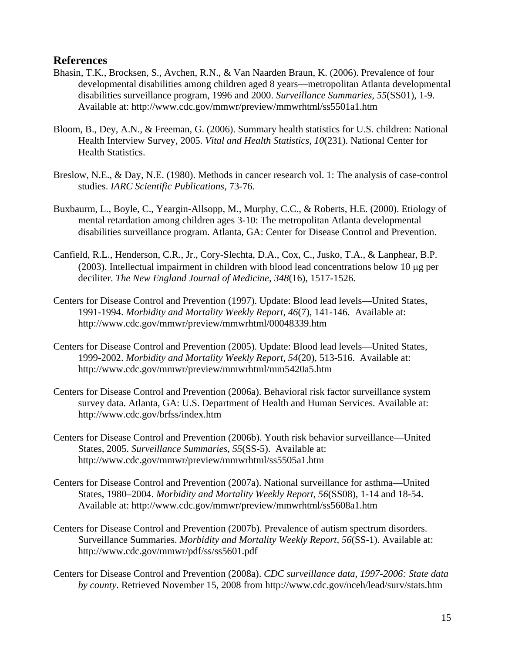### **References**

- Bhasin, T.K., Brocksen, S., Avchen, R.N., & Van Naarden Braun, K. (2006). Prevalence of four developmental disabilities among children aged 8 years—metropolitan Atlanta developmental disabilities surveillance program, 1996 and 2000. *Surveillance Summaries, 55*(SS01), 1-9. Available at: http://www.cdc.gov/mmwr/preview/mmwrhtml/ss5501a1.htm
- Bloom, B., Dey, A.N., & Freeman, G. (2006). Summary health statistics for U.S. children: National Health Interview Survey, 2005. *Vital and Health Statistics, 10*(231). National Center for Health Statistics.
- Breslow, N.E., & Day, N.E. (1980). Methods in cancer research vol. 1: The analysis of case-control studies. *IARC Scientific Publications,* 73-76.
- Buxbaurm, L., Boyle, C., Yeargin-Allsopp, M., Murphy, C.C., & Roberts, H.E. (2000). Etiology of mental retardation among children ages 3-10: The metropolitan Atlanta developmental disabilities surveillance program. Atlanta, GA: Center for Disease Control and Prevention.
- Canfield, R.L., Henderson, C.R., Jr., Cory-Slechta, D.A., Cox, C., Jusko, T.A., & Lanphear, B.P. (2003). Intellectual impairment in children with blood lead concentrations below 10 μg per deciliter. *The New England Journal of Medicine, 348*(16), 1517-1526.
- Centers for Disease Control and Prevention (1997). Update: Blood lead levels—United States, 1991-1994. *Morbidity and Mortality Weekly Report, 46*(7), 141-146. Available at: http://www.cdc.gov/mmwr/preview/mmwrhtml/00048339.htm
- Centers for Disease Control and Prevention (2005). Update: Blood lead levels—United States, 1999-2002. *Morbidity and Mortality Weekly Report, 54*(20), 513-516. Available at: http://www.cdc.gov/mmwr/preview/mmwrhtml/mm5420a5.htm
- Centers for Disease Control and Prevention (2006a). Behavioral risk factor surveillance system survey data. Atlanta, GA: U.S. Department of Health and Human Services. Available at: http://www.cdc.gov/brfss/index.htm
- Centers for Disease Control and Prevention (2006b). Youth risk behavior surveillance—United States, 2005. *Surveillance Summaries, 55*(SS-5). Available at: http://www.cdc.gov/mmwr/preview/mmwrhtml/ss5505a1.htm
- Centers for Disease Control and Prevention (2007a). National surveillance for asthma—United States, 1980–2004. *Morbidity and Mortality Weekly Report, 56*(SS08), 1-14 and 18-54. Available at: http://www.cdc.gov/mmwr/preview/mmwrhtml/ss5608a1.htm
- Centers for Disease Control and Prevention (2007b). Prevalence of autism spectrum disorders. Surveillance Summaries. *Morbidity and Mortality Weekly Report, 56*(SS-1). Available at: http://www.cdc.gov/mmwr/pdf/ss/ss5601.pdf
- Centers for Disease Control and Prevention (2008a). *CDC surveillance data, 1997-2006: State data by county*. Retrieved November 15, 2008 from http://www.cdc.gov/nceh/lead/surv/stats.htm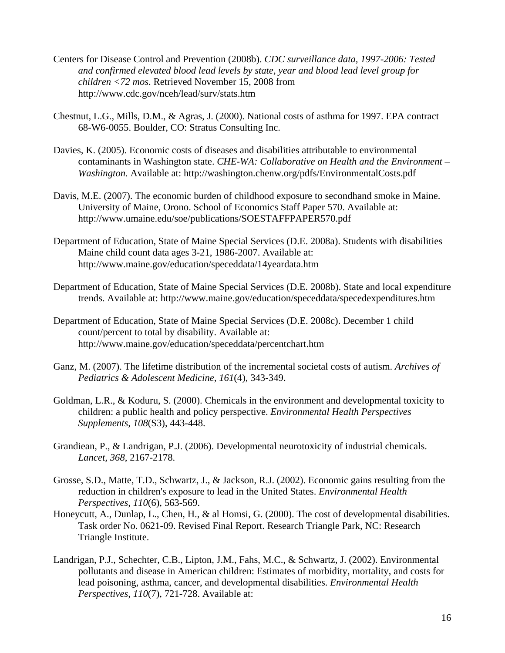- Centers for Disease Control and Prevention (2008b). *CDC surveillance data, 1997-2006: Tested and confirmed elevated blood lead levels by state, year and blood lead level group for children <72 mos*. Retrieved November 15, 2008 from http://www.cdc.gov/nceh/lead/surv/stats.htm
- Chestnut, L.G., Mills, D.M., & Agras, J. (2000). National costs of asthma for 1997. EPA contract 68-W6-0055. Boulder, CO: Stratus Consulting Inc.
- Davies, K. (2005). Economic costs of diseases and disabilities attributable to environmental contaminants in Washington state. *CHE-WA: Collaborative on Health and the Environment – Washington.* Available at: http://washington.chenw.org/pdfs/EnvironmentalCosts.pdf
- Davis, M.E. (2007). The economic burden of childhood exposure to secondhand smoke in Maine. University of Maine, Orono. School of Economics Staff Paper 570. Available at: http://www.umaine.edu/soe/publications/SOESTAFFPAPER570.pdf
- Department of Education, State of Maine Special Services (D.E. 2008a). Students with disabilities Maine child count data ages 3-21, 1986-2007. Available at: http://www.maine.gov/education/speceddata/14yeardata.htm
- Department of Education, State of Maine Special Services (D.E. 2008b). State and local expenditure trends. Available at: http://www.maine.gov/education/speceddata/specedexpenditures.htm
- Department of Education, State of Maine Special Services (D.E. 2008c). December 1 child count/percent to total by disability. Available at: http://www.maine.gov/education/speceddata/percentchart.htm
- Ganz, M. (2007). The lifetime distribution of the incremental societal costs of autism. *Archives of Pediatrics & Adolescent Medicine, 161*(4), 343-349.
- Goldman, L.R., & Koduru, S. (2000). Chemicals in the environment and developmental toxicity to children: a public health and policy perspective. *Environmental Health Perspectives Supplements, 108*(S3), 443-448.
- Grandiean, P., & Landrigan, P.J. (2006). Developmental neurotoxicity of industrial chemicals. *Lancet, 368*, 2167-2178.
- Grosse, S.D., Matte, T.D., Schwartz, J., & Jackson, R.J. (2002). Economic gains resulting from the reduction in children's exposure to lead in the United States. *Environmental Health Perspectives, 110*(6), 563-569.
- Honeycutt, A., Dunlap, L., Chen, H., & al Homsi, G. (2000). The cost of developmental disabilities. Task order No. 0621-09. Revised Final Report. Research Triangle Park, NC: Research Triangle Institute.
- Landrigan, P.J., Schechter, C.B., Lipton, J.M., Fahs, M.C., & Schwartz, J. (2002). Environmental pollutants and disease in American children: Estimates of morbidity, mortality, and costs for lead poisoning, asthma, cancer, and developmental disabilities. *Environmental Health Perspectives, 110*(7), 721-728. Available at: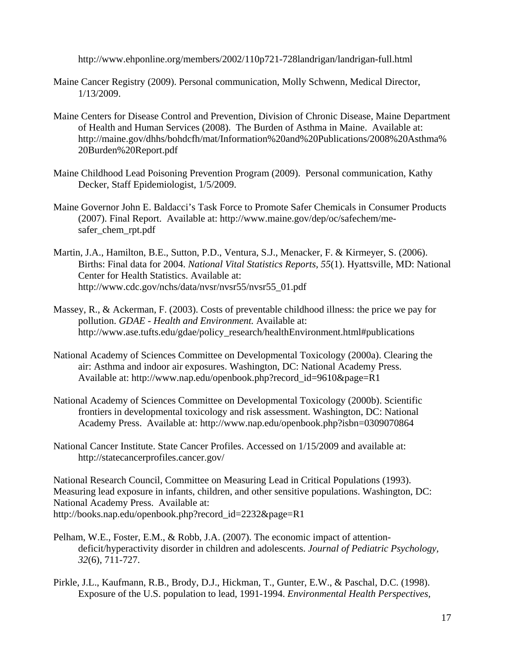http://www.ehponline.org/members/2002/110p721-728landrigan/landrigan-full.html

- Maine Cancer Registry (2009). Personal communication, Molly Schwenn, Medical Director, 1/13/2009.
- Maine Centers for Disease Control and Prevention, Division of Chronic Disease, Maine Department of Health and Human Services (2008). The Burden of Asthma in Maine. Available at: http://maine.gov/dhhs/bohdcfh/mat/Information%20and%20Publications/2008%20Asthma% 20Burden%20Report.pdf
- Maine Childhood Lead Poisoning Prevention Program (2009). Personal communication, Kathy Decker, Staff Epidemiologist, 1/5/2009.
- Maine Governor John E. Baldacci's Task Force to Promote Safer Chemicals in Consumer Products (2007). Final Report. Available at: http://www.maine.gov/dep/oc/safechem/mesafer chem rpt.pdf
- Martin, J.A., Hamilton, B.E., Sutton, P.D., Ventura, S.J., Menacker, F. & Kirmeyer, S. (2006). Births: Final data for 2004. *National Vital Statistics Reports, 55*(1). Hyattsville, MD: National Center for Health Statistics. Available at: http://www.cdc.gov/nchs/data/nvsr/nvsr55/nvsr55\_01.pdf
- Massey, R., & Ackerman, F. (2003). Costs of preventable childhood illness: the price we pay for pollution. *GDAE - Health and Environment.* Available at: http://www.ase.tufts.edu/gdae/policy\_research/healthEnvironment.html#publications
- National Academy of Sciences Committee on Developmental Toxicology (2000a). Clearing the air: Asthma and indoor air exposures. Washington, DC: National Academy Press. Available at: http://www.nap.edu/openbook.php?record\_id=9610&page=R1
- National Academy of Sciences Committee on Developmental Toxicology (2000b). Scientific frontiers in developmental toxicology and risk assessment. Washington, DC: National Academy Press. Available at: http://www.nap.edu/openbook.php?isbn=0309070864
- National Cancer Institute. State Cancer Profiles. Accessed on 1/15/2009 and available at: <http://statecancerprofiles.cancer.gov/>

National Research Council, Committee on Measuring Lead in Critical Populations (1993). Measuring lead exposure in infants, children, and other sensitive populations. Washington, DC: National Academy Press. Available at: http://books.nap.edu/openbook.php?record\_id=2232&page=R1

- Pelham, W.E., Foster, E.M., & Robb, J.A. (2007). The economic impact of attentiondeficit/hyperactivity disorder in children and adolescents. *Journal of Pediatric Psychology, 32*(6), 711-727.
- Pirkle, J.L., Kaufmann, R.B., Brody, D.J., Hickman, T., Gunter, E.W., & Paschal, D.C. (1998). Exposure of the U.S. population to lead, 1991-1994. *Environmental Health Perspectives,*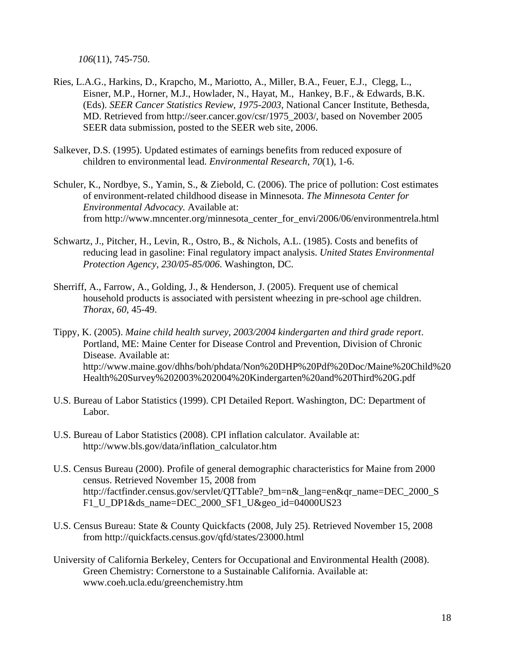*106*(11), 745-750.

- Ries, L.A.G., Harkins, D., Krapcho, M., Mariotto, A., Miller, B.A., Feuer, E.J., Clegg, L., Eisner, M.P., Horner, M.J., Howlader, N., Hayat, M., Hankey, B.F., & Edwards, B.K. (Eds). *SEER Cancer Statistics Review, 1975-2003*, National Cancer Institute, Bethesda, MD. Retrieved from http://seer.cancer.gov/csr/1975\_2003/, based on November 2005 SEER data submission, posted to the SEER web site, 2006.
- Salkever, D.S. (1995). Updated estimates of earnings benefits from reduced exposure of children to environmental lead. *Environmental Research, 70*(1), 1-6.
- Schuler, K., Nordbye, S., Yamin, S., & Ziebold, C. (2006). The price of pollution: Cost estimates of environment-related childhood disease in Minnesota. *The Minnesota Center for Environmental Advocacy.* Available at: from http://www.mncenter.org/minnesota\_center\_for\_envi/2006/06/environmentrela.html
- Schwartz, J., Pitcher, H., Levin, R., Ostro, B., & Nichols, A.L. (1985). Costs and benefits of reducing lead in gasoline: Final regulatory impact analysis. *United States Environmental Protection Agency, 230/05-85/006*. Washington, DC.
- Sherriff, A., Farrow, A., Golding, J., & Henderson, J. (2005). Frequent use of chemical household products is associated with persistent wheezing in pre-school age children. *Thorax, 60*, 45-49.
- Tippy, K. (2005). *Maine child health survey, 2003/2004 kindergarten and third grade report*. Portland, ME: Maine Center for Disease Control and Prevention, Division of Chronic Disease. Available at: http://www.maine.gov/dhhs/boh/phdata/Non%20DHP%20Pdf%20Doc/Maine%20Child%20 Health%20Survey%202003%202004%20Kindergarten%20and%20Third%20G.pdf
- U.S. Bureau of Labor Statistics (1999). CPI Detailed Report. Washington, DC: Department of Labor.
- U.S. Bureau of Labor Statistics (2008). CPI inflation calculator. Available at: http://www.bls.gov/data/inflation\_calculator.htm
- U.S. Census Bureau (2000). Profile of general demographic characteristics for Maine from 2000 census. Retrieved November 15, 2008 from http://factfinder.census.gov/servlet/QTTable? bm=n&\_lang=en&qr\_name=DEC\_2000\_S F1\_U\_DP1&ds\_name=DEC\_2000\_SF1\_U&geo\_id=04000US23
- U.S. Census Bureau: State & County Quickfacts (2008, July 25). Retrieved November 15, 2008 from http://quickfacts.census.gov/qfd/states/23000.html
- University of California Berkeley, Centers for Occupational and Environmental Health (2008). Green Chemistry: Cornerstone to a Sustainable California. Available at: www.coeh.ucla.edu/greenchemistry.htm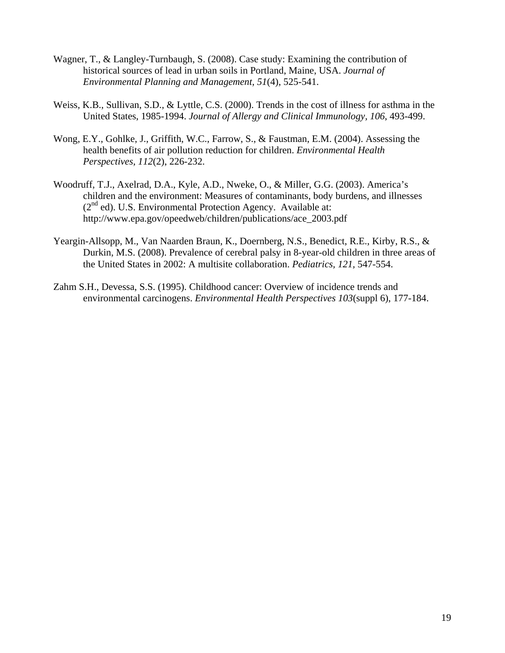- Wagner, T., & Langley-Turnbaugh, S. (2008). Case study: Examining the contribution of historical sources of lead in urban soils in Portland, Maine, USA. *Journal of Environmental Planning and Management, 51*(4), 525-541.
- Weiss, K.B., Sullivan, S.D., & Lyttle, C.S. (2000). Trends in the cost of illness for asthma in the United States, 1985-1994. *Journal of Allergy and Clinical Immunology, 106*, 493-499.
- Wong, E.Y., Gohlke, J., Griffith, W.C., Farrow, S., & Faustman, E.M. (2004). Assessing the health benefits of air pollution reduction for children. *Environmental Health Perspectives, 112*(2), 226-232.
- Woodruff, T.J., Axelrad, D.A., Kyle, A.D., Nweke, O., & Miller, G.G. (2003). America's children and the environment: Measures of contaminants, body burdens, and illnesses  $(2<sup>nd</sup>$  ed). U.S. Environmental Protection Agency. Available at: http://www.epa.gov/opeedweb/children/publications/ace\_2003.pdf
- Yeargin-Allsopp, M., Van Naarden Braun, K., Doernberg, N.S., Benedict, R.E., Kirby, R.S., & Durkin, M.S. (2008). Prevalence of cerebral palsy in 8-year-old children in three areas of the United States in 2002: A multisite collaboration. *Pediatrics, 121,* 547-554.
- Zahm S.H., Devessa, S.S. (1995). Childhood cancer: Overview of incidence trends and environmental carcinogens. *Environmental Health Perspectives 103*(suppl 6), 177-184.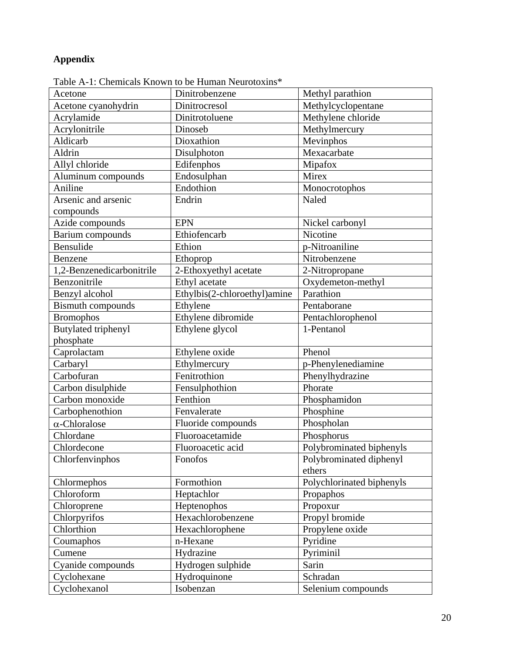# **Appendix**

| I dolum-1. Chumhudis Khown to bu Ffundan I vuolotokins |                              |                           |
|--------------------------------------------------------|------------------------------|---------------------------|
| Acetone                                                | Dinitrobenzene               | Methyl parathion          |
| Acetone cyanohydrin                                    | Dinitrocresol                | Methylcyclopentane        |
| Acrylamide                                             | Dinitrotoluene               | Methylene chloride        |
| Acrylonitrile                                          | Dinoseb                      | Methylmercury             |
| Aldicarb                                               | Dioxathion                   | Mevinphos                 |
| Aldrin                                                 | Disulphoton                  | Mexacarbate               |
| Allyl chloride                                         | Edifenphos                   | Mipafox                   |
| Aluminum compounds                                     | Endosulphan                  | Mirex                     |
| Aniline                                                | Endothion                    | Monocrotophos             |
| Arsenic and arsenic                                    | Endrin                       | Naled                     |
| compounds                                              |                              |                           |
| Azide compounds                                        | <b>EPN</b>                   | Nickel carbonyl           |
| Barium compounds                                       | Ethiofencarb                 | Nicotine                  |
| Bensulide                                              | Ethion                       | p-Nitroaniline            |
| Benzene                                                | Ethoprop                     | Nitrobenzene              |
| 1,2-Benzenedicarbonitrile                              | 2-Ethoxyethyl acetate        | 2-Nitropropane            |
| Benzonitrile                                           | Ethyl acetate                | Oxydemeton-methyl         |
| Benzyl alcohol                                         | Ethylbis(2-chloroethyl)amine | Parathion                 |
| <b>Bismuth compounds</b>                               | Ethylene                     | Pentaborane               |
| <b>Bromophos</b>                                       | Ethylene dibromide           | Pentachlorophenol         |
| <b>Butylated triphenyl</b>                             | Ethylene glycol              | 1-Pentanol                |
| phosphate                                              |                              |                           |
| Caprolactam                                            | Ethylene oxide               | Phenol                    |
| Carbaryl                                               | Ethylmercury                 | p-Phenylenediamine        |
| Carbofuran                                             | Fenitrothion                 | Phenylhydrazine           |
| Carbon disulphide                                      | Fensulphothion               | Phorate                   |
| Carbon monoxide                                        | Fenthion                     | Phosphamidon              |
| Carbophenothion                                        | Fenvalerate                  | Phosphine                 |
| $\alpha$ -Chloralose                                   | Fluoride compounds           | Phospholan                |
| Chlordane                                              | Fluoroacetamide              | Phosphorus                |
| Chlordecone                                            | Fluoroacetic acid            | Polybrominated biphenyls  |
| Chlorfenvinphos                                        | Fonofos                      | Polybrominated diphenyl   |
|                                                        |                              | ethers                    |
| Chlormephos                                            | Formothion                   | Polychlorinated biphenyls |
| Chloroform                                             | Heptachlor                   | Propaphos                 |
| Chloroprene                                            | Heptenophos                  | Propoxur                  |
| Chlorpyrifos                                           | Hexachlorobenzene            | Propyl bromide            |
| Chlorthion                                             | Hexachlorophene              | Propylene oxide           |
| Coumaphos                                              | n-Hexane                     | Pyridine                  |
| Cumene                                                 | Hydrazine                    | Pyriminil                 |
| Cyanide compounds                                      | Hydrogen sulphide            | Sarin                     |
| Cyclohexane                                            | Hydroquinone                 | Schradan                  |
| Cyclohexanol                                           | Isobenzan                    | Selenium compounds        |

Table A-1: Chemicals Known to be Human Neurotoxins\*